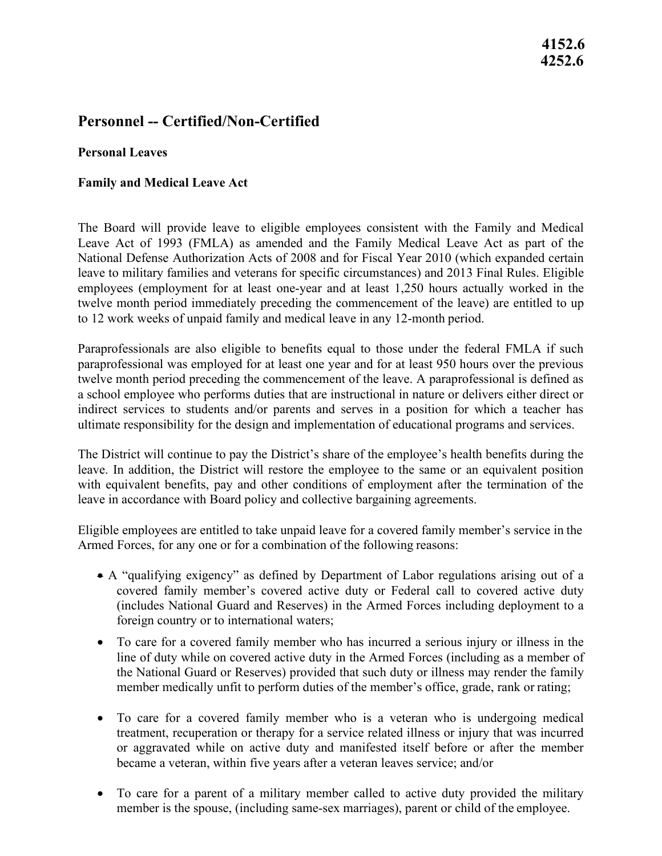# **4252.6**

# **Personnel -- Certified/Non-Certified**

#### **Personal Leaves**

#### **Family and Medical Leave Act**

 National Defense Authorization Acts of 2008 and for Fiscal Year 2010 (which expanded certain 4152.6<br>4252.6<br>4252.6<br>4252.6<br>4252.6<br>4252.6<br>4252.6<br>4252.6<br>6<br>pond Leaves Act<br>by and Medical Leave Act<br>by and Medical Leave Act<br>by any dividend Leave Act<br>by Rodina (by the Sammaded and the Family Medical Leave Act as part of t The Board will provide leave to eligible employees consistent with the Family and Medical Leave Act of 1993 (FMLA) as amended and the Family Medical Leave Act as part of the leave to military families and veterans for specific circumstances) and 2013 Final Rules. Eligible employees (employment for at least one-year and at least 1,250 hours actually worked in the twelve month period immediately preceding the commencement of the leave) are entitled to up to 12 work weeks of unpaid family and medical leave in any 12-month period.

Paraprofessionals are also eligible to benefits equal to those under the federal FMLA if such paraprofessional was employed for at least one year and for at least 950 hours over the previous twelve month period preceding the commencement of the leave. A paraprofessional is defined as a school employee who performs duties that are instructional in nature or delivers either direct or indirect services to students and/or parents and serves in a position for which a teacher has ultimate responsibility for the design and implementation of educational programs and services.

The District will continue to pay the District's share of the employee's health benefits during the leave. In addition, the District will restore the employee to the same or an equivalent position with equivalent benefits, pay and other conditions of employment after the termination of the leave in accordance with Board policy and collective bargaining agreements.

Eligible employees are entitled to take unpaid leave for a covered family member's service in the Armed Forces, for any one or for a combination of the following reasons:

- • A "qualifying exigency" as defined by Department of Labor regulations arising out of a covered family member's covered active duty or Federal call to covered active duty (includes National Guard and Reserves) in the Armed Forces including deployment to a foreign country or to international waters;
- member medically unfit to perform duties of the member's office, grade, rank or rating; • To care for a covered family member who has incurred a serious injury or illness in the line of duty while on covered active duty in the Armed Forces (including as a member of the National Guard or Reserves) provided that such duty or illness may render the family
- To care for a covered family member who is a veteran who is undergoing medical treatment, recuperation or therapy for a service related illness or injury that was incurred or aggravated while on active duty and manifested itself before or after the member became a veteran, within five years after a veteran leaves service; and/or
- member is the spouse, (including same-sex marriages), parent or child of the employee. • To care for a parent of a military member called to active duty provided the military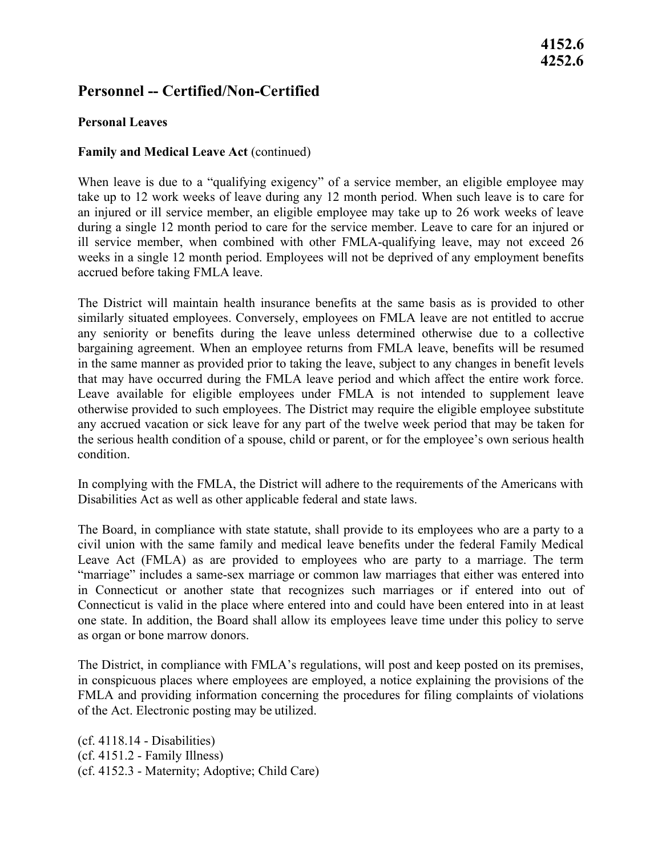# **4152.6 4252.6**

## **Personnel -- Certified/Non-Certified**

#### **Personal Leaves**

#### **Family and Medical Leave Act (continued)**

take up to 12 work weeks of leave during any 12 month period. When such leave is to care for during a single 12 month period to care for the service member. Leave to care for an injured or accrued before taking FMLA leave. When leave is due to a "qualifying exigency" of a service member, an eligible employee may an injured or ill service member, an eligible employee may take up to 26 work weeks of leave ill service member, when combined with other FMLA-qualifying leave, may not exceed 26 weeks in a single 12 month period. Employees will not be deprived of any employment benefits

 bargaining agreement. When an employee returns from FMLA leave, benefits will be resumed The District will maintain health insurance benefits at the same basis as is provided to other similarly situated employees. Conversely, employees on FMLA leave are not entitled to accrue any seniority or benefits during the leave unless determined otherwise due to a collective in the same manner as provided prior to taking the leave, subject to any changes in benefit levels that may have occurred during the FMLA leave period and which affect the entire work force. Leave available for eligible employees under FMLA is not intended to supplement leave otherwise provided to such employees. The District may require the eligible employee substitute any accrued vacation or sick leave for any part of the twelve week period that may be taken for the serious health condition of a spouse, child or parent, or for the employee's own serious health condition.

In complying with the FMLA, the District will adhere to the requirements of the Americans with Disabilities Act as well as other applicable federal and state laws.

 one state. In addition, the Board shall allow its employees leave time under this policy to serve as organ or bone marrow donors. as organ or bone marrow donors. The Board, in compliance with state statute, shall provide to its employees who are a party to a civil union with the same family and medical leave benefits under the federal Family Medical Leave Act (FMLA) as are provided to employees who are party to a marriage. The term "marriage" includes a same-sex marriage or common law marriages that either was entered into in Connecticut or another state that recognizes such marriages or if entered into out of Connecticut is valid in the place where entered into and could have been entered into in at least

 of the Act. Electronic posting may be utilized. The District, in compliance with FMLA's regulations, will post and keep posted on its premises, in conspicuous places where employees are employed, a notice explaining the provisions of the FMLA and providing information concerning the procedures for filing complaints of violations

(cf. 4118.14 - Disabilities) (cf. 4151.2 - Family Illness) (cf. 4152.3 - Maternity; Adoptive; Child Care)